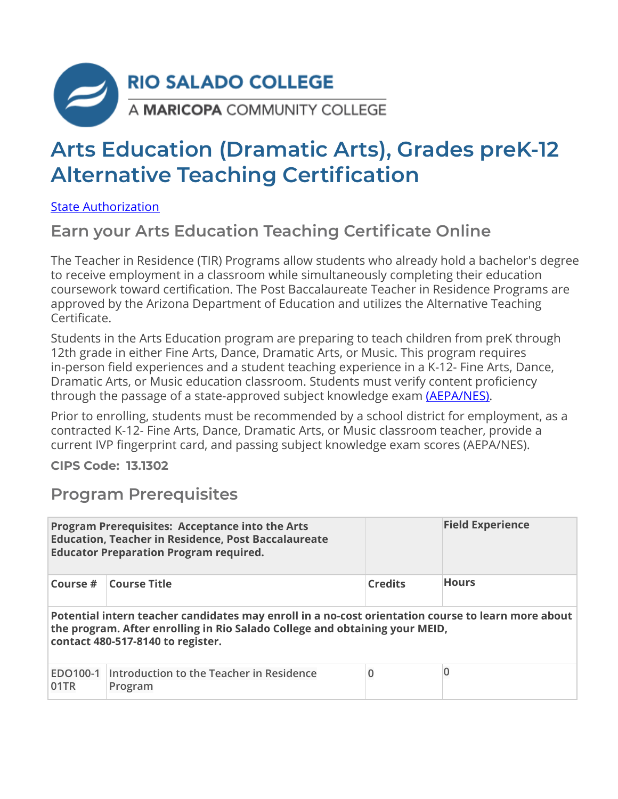

# **Arts Education (Dramatic Arts), Grades preK-12 Alternative Teaching Certification**

[State Authorization](https://www.riosalado.edu/node/2416) 

### **Earn your Arts Education Teaching Certificate Online**

The Teacher in Residence (TIR) Programs allow students who already hold a bachelor's degree to receive employment in a classroom while simultaneously completing their education coursework toward certification. The Post Baccalaureate Teacher in Residence Programs are approved by the Arizona Department of Education and utilizes the Alternative Teaching Certificate.

Students in the Arts Education program are preparing to teach children from preK through 12th grade in either Fine Arts, Dance, Dramatic Arts, or Music. This program requires in-person field experiences and a student teaching experience in a K-12- Fine Arts, Dance, Dramatic Arts, or Music education classroom. Students must verify content proficiency through the passage of a state-approved subject knowledge exam (AEPA/NES).

Prior to enrolling, students must be recommended by a school district for employment, as a contracted K-12- Fine Arts, Dance, Dramatic Arts, or Music classroom teacher, provide a current IVP fingerprint card, and passing subject knowledge exam scores (AEPA/NES).

**CIPS Code: 13.1302**

#### **Program Prerequisites**

|                                                                                                                                                                                                                        | Program Prerequisites: Acceptance into the Arts<br><b>Education, Teacher in Residence, Post Baccalaureate</b><br><b>Educator Preparation Program required.</b> |                | <b>Field Experience</b> |  |  |
|------------------------------------------------------------------------------------------------------------------------------------------------------------------------------------------------------------------------|----------------------------------------------------------------------------------------------------------------------------------------------------------------|----------------|-------------------------|--|--|
| Course #                                                                                                                                                                                                               | <b>Course Title</b>                                                                                                                                            | <b>Credits</b> | <b>Hours</b>            |  |  |
| Potential intern teacher candidates may enroll in a no-cost orientation course to learn more about<br>the program. After enrolling in Rio Salado College and obtaining your MEID,<br>contact 480-517-8140 to register. |                                                                                                                                                                |                |                         |  |  |
| EDO100-1<br>01TR                                                                                                                                                                                                       | Introduction to the Teacher in Residence<br>Program                                                                                                            | 0              | $\overline{0}$          |  |  |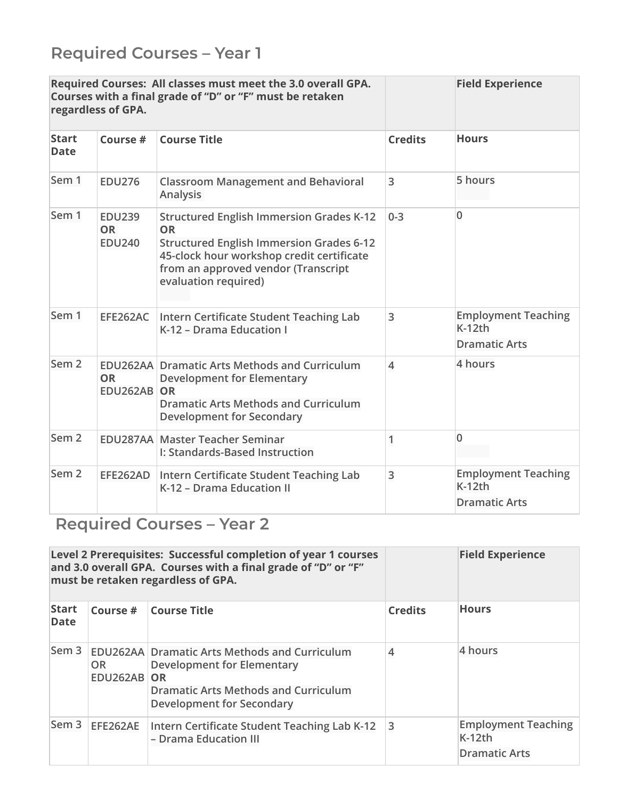| Required Courses: All classes must meet the 3.0 overall GPA.<br>Courses with a final grade of "D" or "F" must be retaken<br>regardless of GPA. |                                             |                                                                                                                                                                                                                             |                | <b>Field Experience</b>                                        |
|------------------------------------------------------------------------------------------------------------------------------------------------|---------------------------------------------|-----------------------------------------------------------------------------------------------------------------------------------------------------------------------------------------------------------------------------|----------------|----------------------------------------------------------------|
| <b>Start</b><br><b>Date</b>                                                                                                                    | Course #                                    | <b>Course Title</b>                                                                                                                                                                                                         | <b>Credits</b> | <b>Hours</b>                                                   |
| Sem 1                                                                                                                                          | <b>EDU276</b>                               | <b>Classroom Management and Behavioral</b><br><b>Analysis</b>                                                                                                                                                               | 3              | 5 hours                                                        |
| Sem 1                                                                                                                                          | <b>EDU239</b><br><b>OR</b><br><b>EDU240</b> | <b>Structured English Immersion Grades K-12</b><br><b>OR</b><br><b>Structured English Immersion Grades 6-12</b><br>45-clock hour workshop credit certificate<br>from an approved vendor (Transcript<br>evaluation required) | $0 - 3$        | $\overline{0}$                                                 |
| Sem 1                                                                                                                                          | EFE262AC                                    | Intern Certificate Student Teaching Lab<br>K-12 - Drama Education I                                                                                                                                                         | 3              | <b>Employment Teaching</b><br>$K-12th$<br><b>Dramatic Arts</b> |
| Sem <sub>2</sub>                                                                                                                               | <b>OR</b><br><b>EDU262AB</b>                | <b>EDU262AA Dramatic Arts Methods and Curriculum</b><br><b>Development for Elementary</b><br>OR<br><b>Dramatic Arts Methods and Curriculum</b><br><b>Development for Secondary</b>                                          | 4              | 4 hours                                                        |
| Sem <sub>2</sub>                                                                                                                               |                                             | <b>EDU287AA Master Teacher Seminar</b><br>I: Standards-Based Instruction                                                                                                                                                    | 1              | $\overline{0}$                                                 |
| Sem <sub>2</sub>                                                                                                                               | EFE262AD                                    | Intern Certificate Student Teaching Lab<br>K-12 - Drama Education II                                                                                                                                                        | 3              | <b>Employment Teaching</b><br>$K-12th$<br><b>Dramatic Arts</b> |

## **Required Courses – Year 2**

|                      |                          | Level 2 Prerequisites: Successful completion of year 1 courses<br>and 3.0 overall GPA. Courses with a final grade of "D" or "F"<br>must be retaken regardless of GPA.        |                | <b>Field Experience</b>                                        |
|----------------------|--------------------------|------------------------------------------------------------------------------------------------------------------------------------------------------------------------------|----------------|----------------------------------------------------------------|
| <b>Start</b><br>Date | Course #                 | <b>Course Title</b>                                                                                                                                                          | <b>Credits</b> | <b>Hours</b>                                                   |
| Sem <sub>3</sub>     | <b>OR</b><br>EDU262AB OR | <b>EDU262AA Dramatic Arts Methods and Curriculum</b><br><b>Development for Elementary</b><br><b>Dramatic Arts Methods and Curriculum</b><br><b>Development for Secondary</b> | $\overline{4}$ | 4 hours                                                        |
| Sem <sub>3</sub>     | EFE262AE                 | Intern Certificate Student Teaching Lab K-12<br>- Drama Education III                                                                                                        | 3              | <b>Employment Teaching</b><br>$K-12th$<br><b>Dramatic Arts</b> |